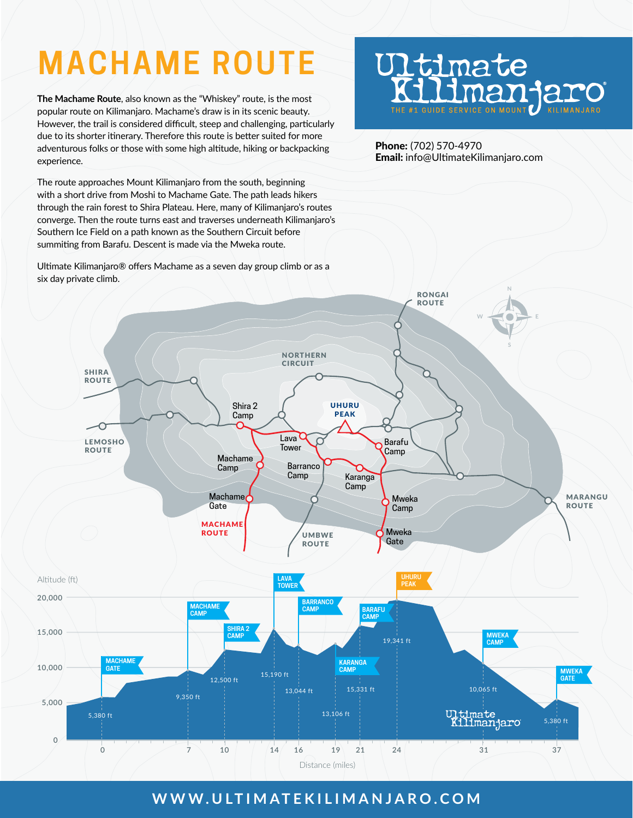# **MACHAME ROUTE**

**The Machame Route**, also known as the "Whiskey" route, is the most popular route on Kilimanjaro. Machame's draw is in its scenic beauty. However, the trail is considered difficult, steep and challenging, particularly due to its shorter itinerary. Therefore this route is better suited for more adventurous folks or those with some high altitude, hiking or backpacking experience.

The route approaches Mount Kilimanjaro from the south, beginning with a short drive from Moshi to Machame Gate. The path leads hikers through the rain forest to Shira Plateau. Here, many of Kilimanjaro's routes converge. Then the route turns east and traverses underneath Kilimanjaro's Southern Ice Field on a path known as the Southern Circuit before summiting from Barafu. Descent is made via the Mweka route.

Ultimate Kilimanjaro® offers Machame as a seven day group climb or as a

# **J1timate** Har THE #1 GUIDE SERVICE ON MOUNT

Phone: (702) 570-4970 Email: info@UltimateKilimanjaro.com



# **WWW.ULTIMATEKILIMANJARO.COM**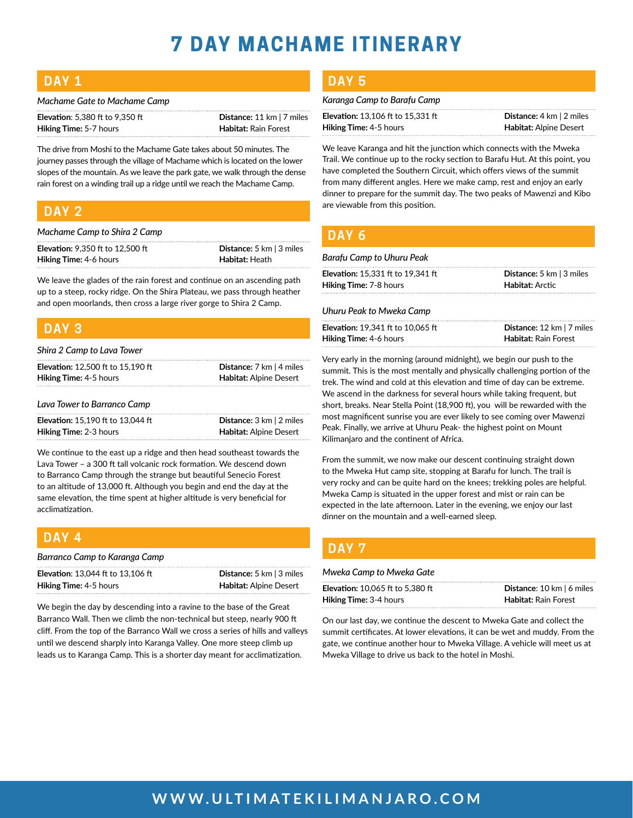# **7 DAY MACHAME ITINERARY**

| <b>Service Service</b> |    |   |    |
|------------------------|----|---|----|
|                        | W. | ٠ |    |
|                        |    |   |    |
| . .                    |    | ٠ | __ |

| Machame Gate to Machame Camp |
|------------------------------|
|                              |

| <b>Elevation:</b> 5.380 ft to $9.350$ ft | Distance: 11 km   7 miles   |
|------------------------------------------|-----------------------------|
| <b>Hiking Time: 5-7 hours</b>            | <b>Habitat:</b> Rain Forest |

The drive from Moshi to the Machame Gate takes about 50 minutes. The journey passes through the village of Machame which is located on the lower slopes of the mountain. As we leave the park gate, we walk through the dense rain forest on a winding trail up a ridge until we reach the Machame Camp.

### **DAY 2**

*Machame Camp to Shira 2 Camp*

| <b>Elevation:</b> 9,350 ft to 12,500 ft | <b>Distance:</b> 5 km $\vert$ 3 miles |
|-----------------------------------------|---------------------------------------|
| <b>Hiking Time: 4-6 hours</b>           | <b>Habitat:</b> Heath                 |

We leave the glades of the rain forest and continue on an ascending path up to a steep, rocky ridge. On the Shira Plateau, we pass through heather and open moorlands, then cross a large river gorge to Shira 2 Camp.

### **DAY 3**

| Shira 2 Camp to Lava Tower               |                                                     |  |  |  |
|------------------------------------------|-----------------------------------------------------|--|--|--|
| <b>Elevation: 12.500 ft to 15.190 ft</b> | <b>Distance:</b> $7 \text{ km}$   4 miles           |  |  |  |
| Hiking Time: 4-5 hours                   | Habitat: Alpine Desert                              |  |  |  |
| Lava Tower to Barranco Camp              |                                                     |  |  |  |
| <b>Elevation: 15.190 ft to 13.044 ft</b> | <b>Distance:</b> $3 \text{ km}$   $2 \text{ miles}$ |  |  |  |
| <b>Hiking Time: 2-3 hours</b>            | Habitat: Alpine Desert                              |  |  |  |

We continue to the east up a ridge and then head southeast towards the Lava Tower – a 300 ft tall volcanic rock formation. We descend down to Barranco Camp through the strange but beautiful Senecio Forest to an altitude of 13,000 ft. Although you begin and end the day at the same elevation, the time spent at higher altitude is very beneficial for acclimatization.

| I DAY 4                                  |                                       |
|------------------------------------------|---------------------------------------|
| Barranco Camp to Karanga Camp            |                                       |
| <b>Elevation: 13.044 ft to 13.106 ft</b> | <b>Distance:</b> 5 km $\vert$ 3 miles |
| <b>Hiking Time: 4-5 hours</b>            | <b>Habitat: Alpine Desert</b>         |

We begin the day by descending into a ravine to the base of the Great Barranco Wall. Then we climb the non-technical but steep, nearly 900 ft cliff. From the top of the Barranco Wall we cross a series of hills and valleys until we descend sharply into Karanga Valley. One more steep climb up leads us to Karanga Camp. This is a shorter day meant for acclimatization.

#### **DAY 5**

#### *Karanga Camp to Barafu Camp*

**Elevation:** 13,106 ft to 15,331 ft **Distance:** 4 km | 2 miles **Hiking Time:** 4-5 hours **Habitat:** Alpine Desert

We leave Karanga and hit the junction which connects with the Mweka Trail. We continue up to the rocky section to Barafu Hut. At this point, you have completed the Southern Circuit, which offers views of the summit from many different angles. Here we make camp, rest and enjoy an early dinner to prepare for the summit day. The two peaks of Mawenzi and Kibo are viewable from this position.

### **DAY 6**

#### *Barafu Camp to Uhuru Peak*

| <b>Elevation:</b> 15.331 ft to 19.341 ft | <b>Distance:</b> 5 km $\vert$ 3 miles |
|------------------------------------------|---------------------------------------|
| <b>Hiking Time: 7-8 hours</b>            | <b>Habitat:</b> Arctic                |
|                                          |                                       |

#### *Uhuru Peak to Mweka Camp*

| <b>Elevation: 19.341 ft to 10.065 ft</b> | <b>Distance:</b> 12 km $ 7$ miles |
|------------------------------------------|-----------------------------------|
| <b>Hiking Time: 4-6 hours</b>            | <b>Habitat:</b> Rain Forest       |

Very early in the morning (around midnight), we begin our push to the summit. This is the most mentally and physically challenging portion of the trek. The wind and cold at this elevation and time of day can be extreme. We ascend in the darkness for several hours while taking frequent, but short, breaks. Near Stella Point (18,900 ft), you will be rewarded with the most magnificent sunrise you are ever likely to see coming over Mawenzi Peak. Finally, we arrive at Uhuru Peak- the highest point on Mount Kilimanjaro and the continent of Africa.

From the summit, we now make our descent continuing straight down to the Mweka Hut camp site, stopping at Barafu for lunch. The trail is very rocky and can be quite hard on the knees; trekking poles are helpful. Mweka Camp is situated in the upper forest and mist or rain can be expected in the late afternoon. Later in the evening, we enjoy our last dinner on the mountain and a well-earned sleep.

## **DAY 7**

#### *Mweka Camp to Mweka Gate*

| <b>Elevation:</b> 10,065 ft to 5,380 ft | <b>Distance:</b> 10 km $\vert$ 6 miles |
|-----------------------------------------|----------------------------------------|
| <b>Hiking Time:</b> 3-4 hours           | <b>Habitat: Rain Forest</b>            |

On our last day, we continue the descent to Mweka Gate and collect the summit certificates. At lower elevations, it can be wet and muddy. From the gate, we continue another hour to Mweka Village. A vehicle will meet us at Mweka Village to drive us back to the hotel in Moshi.

## **WWW.ULTIMATEKILIMANJARO.COM**